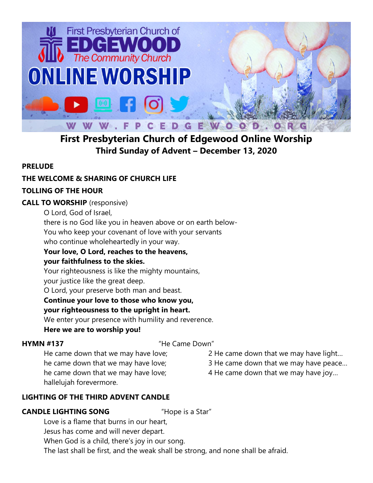

# **First Presbyterian Church of Edgewood Online Worship Third Sunday of Advent – December 13, 2020**

## **PRELUDE**

## **THE WELCOME & SHARING OF CHURCH LIFE**

## **TOLLING OF THE HOUR**

#### **CALL TO WORSHIP** (responsive)

O Lord, God of Israel,

there is no God like you in heaven above or on earth below-

You who keep your covenant of love with your servants

who continue wholeheartedly in your way.

### **Your love, O Lord, reaches to the heavens,**

#### **your faithfulness to the skies.**

Your righteousness is like the mighty mountains,

your justice like the great deep.

O Lord, your preserve both man and beast.

### **Continue your love to those who know you,**

## **your righteousness to the upright in heart.**

We enter your presence with humility and reverence.

**Here we are to worship you!**

### **HYMN #137** "He Came Down"

2 He came down that we may have light…

He came down that we may have love; he came down that we may have love; he came down that we may have love; hallelujah forevermore.

3 He came down that we may have peace… 4 He came down that we may have joy…

## **LIGHTING OF THE THIRD ADVENT CANDLE**

### **CANDLE LIGHTING SONG** "Hope is a Star"

Love is a flame that burns in our heart, Jesus has come and will never depart. When God is a child, there's joy in our song. The last shall be first, and the weak shall be strong, and none shall be afraid.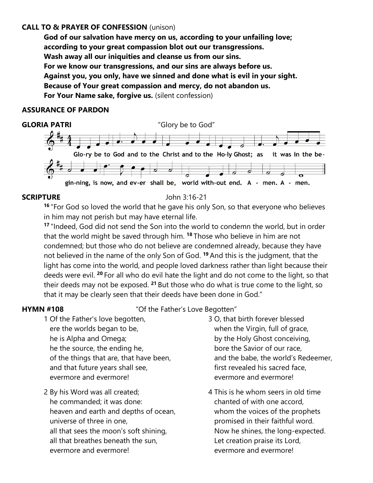#### **CALL TO & PRAYER OF CONFESSION** (unison)

**God of our salvation have mercy on us, according to your unfailing love; according to your great compassion blot out our transgressions. Wash away all our iniquities and cleanse us from our sins. For we know our transgressions, and our sins are always before us. Against you, you only, have we sinned and done what is evil in your sight. Because of Your great compassion and mercy, do not abandon us. For Your Name sake, forgive us.** (silent confession)

#### **ASSURANCE OF PARDON**



#### **SCRIPTURE** John 3:16-21

**<sup>16</sup>** "For God so loved the world that he gave his only Son, so that everyone who believes in him may not perish but may have eternal life.

**<sup>17</sup>** "Indeed, God did not send the Son into the world to condemn the world, but in order that the world might be saved through him. **<sup>18</sup>** Those who believe in him are not condemned; but those who do not believe are condemned already, because they have not believed in the name of the only Son of God. **<sup>19</sup>** And this is the judgment, that the light has come into the world, and people loved darkness rather than light because their deeds were evil. **<sup>20</sup>** For all who do evil hate the light and do not come to the light, so that their deeds may not be exposed. **<sup>21</sup>** But those who do what is true come to the light, so that it may be clearly seen that their deeds have been done in God."

**HYMN #108** "Of the Father's Love Begotten"

- 1 Of the Father's love begotten, ere the worlds began to be, he is Alpha and Omega; he the source, the ending he, of the things that are, that have been, and that future years shall see, evermore and evermore!
- 2 By his Word was all created; he commanded; it was done: heaven and earth and depths of ocean, universe of three in one, all that sees the moon's soft shining, all that breathes beneath the sun, evermore and evermore!
- 3 O, that birth forever blessed when the Virgin, full of grace, by the Holy Ghost conceiving, bore the Savior of our race, and the babe, the world's Redeemer, first revealed his sacred face, evermore and evermore!
- 4 This is he whom seers in old time chanted of with one accord, whom the voices of the prophets promised in their faithful word. Now he shines, the long-expected. Let creation praise its Lord, evermore and evermore!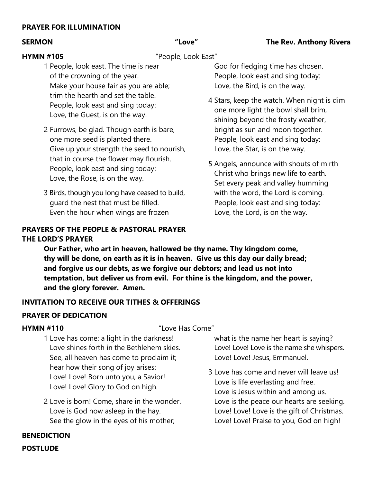#### **PRAYER FOR ILLUMINATION**

#### **SERMON "Love" The Rev. Anthony Rivera**

**HYMN #105** "People, Look East"

- 1 People, look east. The time is near of the crowning of the year. Make your house fair as you are able; trim the hearth and set the table. People, look east and sing today: Love, the Guest, is on the way.
- 2 Furrows, be glad. Though earth is bare, one more seed is planted there. Give up your strength the seed to nourish, that in course the flower may flourish. People, look east and sing today: Love, the Rose, is on the way.
- 3 Birds, though you long have ceased to build, guard the nest that must be filled. Even the hour when wings are frozen

#### **PRAYERS OF THE PEOPLE & PASTORAL PRAYER THE LORD'S PRAYER**

 God for fledging time has chosen. People, look east and sing today: Love, the Bird, is on the way.

- 4 Stars, keep the watch. When night is dim one more light the bowl shall brim, shining beyond the frosty weather, bright as sun and moon together. People, look east and sing today: Love, the Star, is on the way.
- 5 Angels, announce with shouts of mirth Christ who brings new life to earth. Set every peak and valley humming with the word, the Lord is coming. People, look east and sing today: Love, the Lord, is on the way.

**Our Father, who art in heaven, hallowed be thy name. Thy kingdom come, thy will be done, on earth as it is in heaven. Give us this day our daily bread; and forgive us our debts, as we forgive our debtors; and lead us not into temptation, but deliver us from evil. For thine is the kingdom, and the power, and the glory forever. Amen.**

#### **INVITATION TO RECEIVE OUR TITHES & OFFERINGS**

#### **PRAYER OF DEDICATION**

**HYMN #110** "Love Has Come"

- 1 Love has come: a light in the darkness! Love shines forth in the Bethlehem skies. See, all heaven has come to proclaim it; hear how their song of joy arises: Love! Love! Born unto you, a Savior! Love! Love! Glory to God on high.
- 2 Love is born! Come, share in the wonder. Love is God now asleep in the hay. See the glow in the eyes of his mother;

 what is the name her heart is saying? Love! Love! Love is the name she whispers. Love! Love! Jesus, Emmanuel.

3 Love has come and never will leave us! Love is life everlasting and free. Love is Jesus within and among us. Love is the peace our hearts are seeking. Love! Love! Love is the gift of Christmas. Love! Love! Praise to you, God on high!

### **BENEDICTION POSTLUDE**